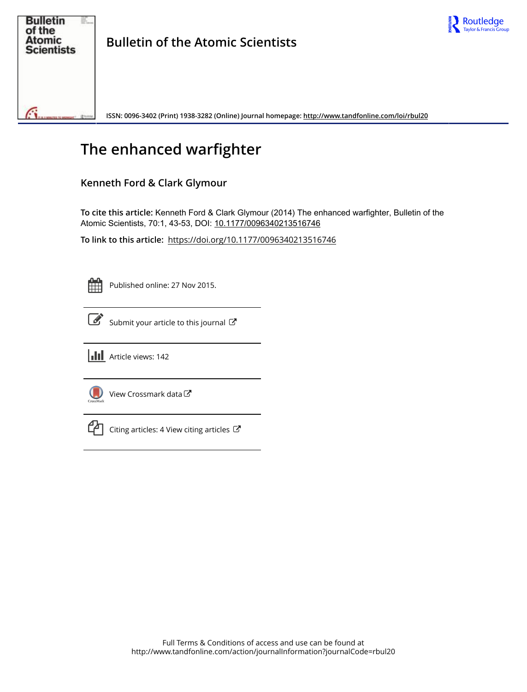

# **The enhanced warfighter**

## **Kenneth Ford & Clark Glymour**

**To cite this article:** Kenneth Ford & Clark Glymour (2014) The enhanced warfighter, Bulletin of the Atomic Scientists, 70:1, 43-53, DOI: [10.1177/0096340213516746](http://www.tandfonline.com/action/showCitFormats?doi=10.1177/0096340213516746)

**To link to this article:** <https://doi.org/10.1177/0096340213516746>

Published online: 27 Nov 2015.



 $\overrightarrow{S}$  [Submit your article to this journal](http://www.tandfonline.com/action/authorSubmission?journalCode=rbul20&show=instructions)  $\overrightarrow{S}$ 





[View Crossmark data](http://crossmark.crossref.org/dialog/?doi=10.1177/0096340213516746&domain=pdf&date_stamp=2015-11-27)



 $\mathbb{C}$  [Citing articles: 4 View citing articles](http://www.tandfonline.com/doi/citedby/10.1177/0096340213516746#tabModule)  $\mathbb{C}$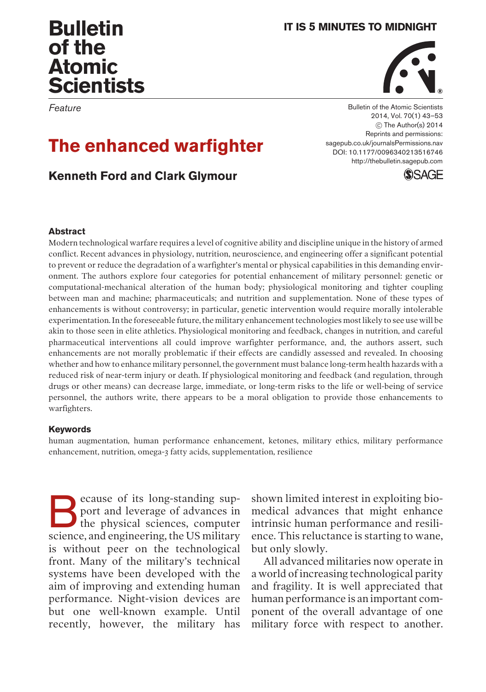#### **IT IS 5 MINUTES TO MIDNIGHT**

**®**

Feature

**Bulletin**

**Scientists**

**of the Atomic**

## The enhanced warfighter

#### Kenneth Ford and Clark Glymour

Bulletin of the Atomic Scientists 2014, Vol. 70(1) 43–53  $\circ$  The Author(s) 2014 Reprints and permissions: sagepub.co.uk/journalsPermissions.nav DOI: 10.1177/0096340213516746 http://thebulletin.sagepub.com



#### **Abstract**

Modern technological warfare requires a level of cognitive ability and discipline unique in the history of armed conflict. Recent advances in physiology, nutrition, neuroscience, and engineering offer a significant potential to prevent or reduce the degradation of a warfighter's mental or physical capabilities in this demanding environment. The authors explore four categories for potential enhancement of military personnel: genetic or computational-mechanical alteration of the human body; physiological monitoring and tighter coupling between man and machine; pharmaceuticals; and nutrition and supplementation. None of these types of enhancements is without controversy; in particular, genetic intervention would require morally intolerable experimentation. In the foreseeable future, the military enhancement technologies most likely to see use will be akin to those seen in elite athletics. Physiological monitoring and feedback, changes in nutrition, and careful pharmaceutical interventions all could improve warfighter performance, and, the authors assert, such enhancements are not morally problematic if their effects are candidly assessed and revealed. In choosing whether and how to enhance military personnel, the government must balance long-term health hazards with a reduced risk of near-term injury or death. If physiological monitoring and feedback (and regulation, through drugs or other means) can decrease large, immediate, or long-term risks to the life or well-being of service personnel, the authors write, there appears to be a moral obligation to provide those enhancements to warfighters.

#### Keywords

human augmentation, human performance enhancement, ketones, military ethics, military performance enhancement, nutrition, omega-3 fatty acids, supplementation, resilience

**Because of its long-standing support and leverage of advances in**<br>the physical sciences, computer<br>science and engineering the US military port and leverage of advances in the physical sciences, computer science, and engineering, the US military is without peer on the technological front. Many of the military's technical systems have been developed with the aim of improving and extending human performance. Night-vision devices are but one well-known example. Until recently, however, the military has

shown limited interest in exploiting biomedical advances that might enhance intrinsic human performance and resilience. This reluctance is starting to wane, but only slowly.

All advanced militaries now operate in a world of increasing technological parity and fragility. It is well appreciated that human performance is an important component of the overall advantage of one military force with respect to another.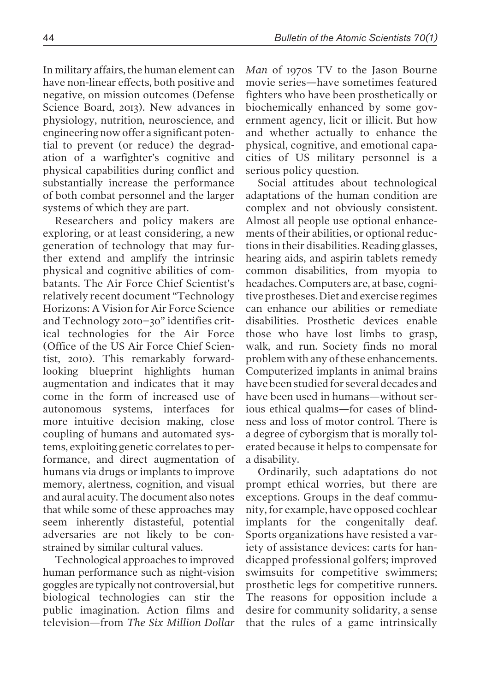In military affairs, the human element can have non-linear effects, both positive and negative, on mission outcomes (Defense Science Board, 2013). New advances in physiology, nutrition, neuroscience, and engineering now offer a significant potential to prevent (or reduce) the degradation of a warfighter's cognitive and physical capabilities during conflict and substantially increase the performance of both combat personnel and the larger systems of which they are part.

Researchers and policy makers are exploring, or at least considering, a new generation of technology that may further extend and amplify the intrinsic physical and cognitive abilities of combatants. The Air Force Chief Scientist's relatively recent document "Technology Horizons: A Vision for Air Force Science and Technology 2010-30" identifies critical technologies for the Air Force (Office of the US Air Force Chief Scientist, 2010). This remarkably forwardlooking blueprint highlights human augmentation and indicates that it may come in the form of increased use of autonomous systems, interfaces for more intuitive decision making, close coupling of humans and automated systems, exploiting genetic correlates to performance, and direct augmentation of humans via drugs or implants to improve memory, alertness, cognition, and visual and aural acuity. The document also notes that while some of these approaches may seem inherently distasteful, potential adversaries are not likely to be constrained by similar cultural values.

Technological approaches to improved human performance such as night-vision goggles are typically not controversial, but biological technologies can stir the public imagination. Action films and television—from The Six Million Dollar Man of 1970s TV to the Jason Bourne movie series-have sometimes featured fighters who have been prosthetically or biochemically enhanced by some government agency, licit or illicit. But how and whether actually to enhance the physical, cognitive, and emotional capacities of US military personnel is a serious policy question.

Social attitudes about technological adaptations of the human condition are complex and not obviously consistent. Almost all people use optional enhancements of their abilities, or optional reductions in their disabilities. Reading glasses, hearing aids, and aspirin tablets remedy common disabilities, from myopia to headaches. Computers are, at base, cognitive prostheses. Diet and exercise regimes can enhance our abilities or remediate disabilities. Prosthetic devices enable those who have lost limbs to grasp, walk, and run. Society finds no moral problem with any of these enhancements. Computerized implants in animal brains have been studied for several decades and have been used in humans—without serious ethical qualms—for cases of blindness and loss of motor control. There is a degree of cyborgism that is morally tolerated because it helps to compensate for a disability.

Ordinarily, such adaptations do not prompt ethical worries, but there are exceptions. Groups in the deaf community, for example, have opposed cochlear implants for the congenitally deaf. Sports organizations have resisted a variety of assistance devices: carts for handicapped professional golfers; improved swimsuits for competitive swimmers; prosthetic legs for competitive runners. The reasons for opposition include a desire for community solidarity, a sense that the rules of a game intrinsically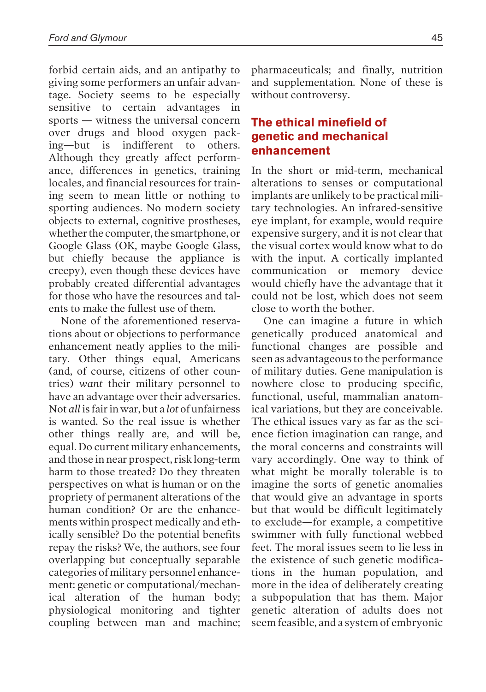forbid certain aids, and an antipathy to giving some performers an unfair advantage. Society seems to be especially sensitive to certain advantages in  $sports$  — witness the universal concern over drugs and blood oxygen packing—but is indifferent to others. Although they greatly affect performance, differences in genetics, training locales, and financial resources for training seem to mean little or nothing to sporting audiences. No modern society objects to external, cognitive prostheses, whether the computer, the smartphone, or Google Glass (OK, maybe Google Glass, but chiefly because the appliance is creepy), even though these devices have probably created differential advantages for those who have the resources and talents to make the fullest use of them.

None of the aforementioned reservations about or objections to performance enhancement neatly applies to the military. Other things equal, Americans (and, of course, citizens of other countries) want their military personnel to have an advantage over their adversaries. Not all is fair in war, but a lot of unfairness is wanted. So the real issue is whether other things really are, and will be, equal. Do current military enhancements, and those in near prospect, risk long-term harm to those treated? Do they threaten perspectives on what is human or on the propriety of permanent alterations of the human condition? Or are the enhancements within prospect medically and ethically sensible? Do the potential benefits repay the risks? We, the authors, see four overlapping but conceptually separable categories of military personnel enhancement: genetic or computational/mechanical alteration of the human body; physiological monitoring and tighter coupling between man and machine; pharmaceuticals; and finally, nutrition and supplementation. None of these is without controversy.

## The ethical minefield of genetic and mechanical enhancement

In the short or mid-term, mechanical alterations to senses or computational implants are unlikely to be practical military technologies. An infrared-sensitive eye implant, for example, would require expensive surgery, and it is not clear that the visual cortex would know what to do with the input. A cortically implanted communication or memory device would chiefly have the advantage that it could not be lost, which does not seem close to worth the bother.

One can imagine a future in which genetically produced anatomical and functional changes are possible and seen as advantageous to the performance of military duties. Gene manipulation is nowhere close to producing specific, functional, useful, mammalian anatomical variations, but they are conceivable. The ethical issues vary as far as the science fiction imagination can range, and the moral concerns and constraints will vary accordingly. One way to think of what might be morally tolerable is to imagine the sorts of genetic anomalies that would give an advantage in sports but that would be difficult legitimately to exclude—for example, a competitive swimmer with fully functional webbed feet. The moral issues seem to lie less in the existence of such genetic modifications in the human population, and more in the idea of deliberately creating a subpopulation that has them. Major genetic alteration of adults does not seem feasible, and a system of embryonic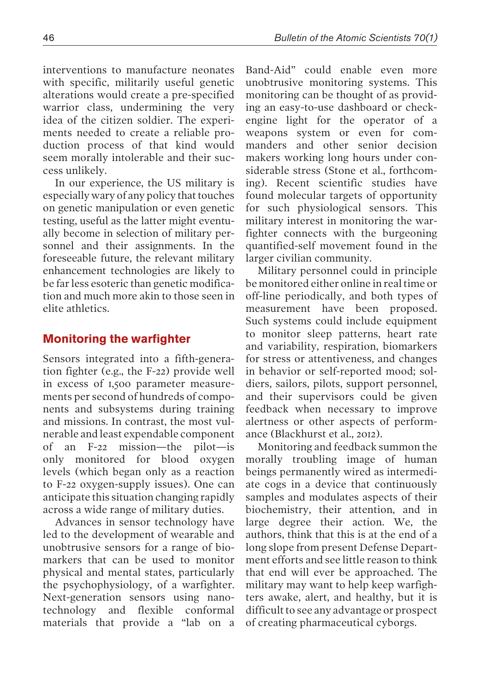interventions to manufacture neonates with specific, militarily useful genetic alterations would create a pre-specified warrior class, undermining the very idea of the citizen soldier. The experiments needed to create a reliable production process of that kind would seem morally intolerable and their success unlikely.

In our experience, the US military is especially wary of any policy that touches on genetic manipulation or even genetic testing, useful as the latter might eventually become in selection of military personnel and their assignments. In the foreseeable future, the relevant military enhancement technologies are likely to be far less esoteric than genetic modification and much more akin to those seen in elite athletics.

### Monitoring the warfighter

Sensors integrated into a fifth-generation fighter (e.g., the F-22) provide well in excess of 1,500 parameter measurements per second of hundreds of components and subsystems during training and missions. In contrast, the most vulnerable and least expendable component of an  $F-22$  mission—the pilot—is only monitored for blood oxygen levels (which began only as a reaction to F-22 oxygen-supply issues). One can anticipate this situation changing rapidly across a wide range of military duties.

Advances in sensor technology have led to the development of wearable and unobtrusive sensors for a range of biomarkers that can be used to monitor physical and mental states, particularly the psychophysiology, of a warfighter. Next-generation sensors using nanotechnology and flexible conformal materials that provide a "lab on a Band-Aid" could enable even more unobtrusive monitoring systems. This monitoring can be thought of as providing an easy-to-use dashboard or checkengine light for the operator of a weapons system or even for commanders and other senior decision makers working long hours under considerable stress (Stone et al., forthcoming). Recent scientific studies have found molecular targets of opportunity for such physiological sensors. This military interest in monitoring the warfighter connects with the burgeoning quantified-self movement found in the larger civilian community.

Military personnel could in principle be monitored either online in real time or off-line periodically, and both types of measurement have been proposed. Such systems could include equipment to monitor sleep patterns, heart rate and variability, respiration, biomarkers for stress or attentiveness, and changes in behavior or self-reported mood; soldiers, sailors, pilots, support personnel, and their supervisors could be given feedback when necessary to improve alertness or other aspects of performance (Blackhurst et al., 2012).

Monitoring and feedback summon the morally troubling image of human beings permanently wired as intermediate cogs in a device that continuously samples and modulates aspects of their biochemistry, their attention, and in large degree their action. We, the authors, think that this is at the end of a long slope from present Defense Department efforts and see little reason to think that end will ever be approached. The military may want to help keep warfighters awake, alert, and healthy, but it is difficult to see any advantage or prospect of creating pharmaceutical cyborgs.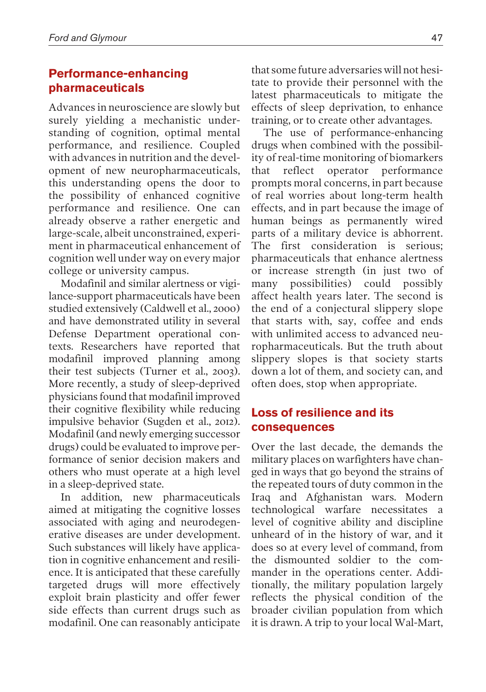## Performance-enhancing pharmaceuticals

Advances in neuroscience are slowly but surely yielding a mechanistic understanding of cognition, optimal mental performance, and resilience. Coupled with advances in nutrition and the development of new neuropharmaceuticals, this understanding opens the door to the possibility of enhanced cognitive performance and resilience. One can already observe a rather energetic and large-scale, albeit unconstrained, experiment in pharmaceutical enhancement of cognition well under way on every major college or university campus.

Modafinil and similar alertness or vigilance-support pharmaceuticals have been studied extensively (Caldwell et al., 2000) and have demonstrated utility in several Defense Department operational contexts. Researchers have reported that modafinil improved planning among their test subjects (Turner et al., 2003). More recently, a study of sleep-deprived physicians found that modafinil improved their cognitive flexibility while reducing impulsive behavior (Sugden et al., 2012). Modafinil (and newly emerging successor drugs) could be evaluated to improve performance of senior decision makers and others who must operate at a high level in a sleep-deprived state.

In addition, new pharmaceuticals aimed at mitigating the cognitive losses associated with aging and neurodegenerative diseases are under development. Such substances will likely have application in cognitive enhancement and resilience. It is anticipated that these carefully targeted drugs will more effectively exploit brain plasticity and offer fewer side effects than current drugs such as modafinil. One can reasonably anticipate that some future adversaries will not hesitate to provide their personnel with the latest pharmaceuticals to mitigate the effects of sleep deprivation, to enhance training, or to create other advantages.

The use of performance-enhancing drugs when combined with the possibility of real-time monitoring of biomarkers that reflect operator performance prompts moral concerns, in part because of real worries about long-term health effects, and in part because the image of human beings as permanently wired parts of a military device is abhorrent. The first consideration is serious; pharmaceuticals that enhance alertness or increase strength (in just two of many possibilities) could possibly affect health years later. The second is the end of a conjectural slippery slope that starts with, say, coffee and ends with unlimited access to advanced neuropharmaceuticals. But the truth about slippery slopes is that society starts down a lot of them, and society can, and often does, stop when appropriate.

## Loss of resilience and its consequences

Over the last decade, the demands the military places on warfighters have changed in ways that go beyond the strains of the repeated tours of duty common in the Iraq and Afghanistan wars. Modern technological warfare necessitates a level of cognitive ability and discipline unheard of in the history of war, and it does so at every level of command, from the dismounted soldier to the commander in the operations center. Additionally, the military population largely reflects the physical condition of the broader civilian population from which it is drawn. A trip to your local Wal-Mart,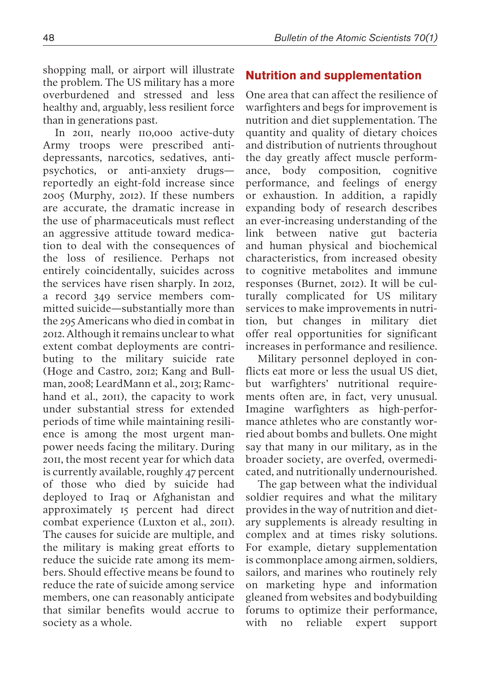shopping mall, or airport will illustrate the problem. The US military has a more overburdened and stressed and less healthy and, arguably, less resilient force than in generations past.

In 2011, nearly 110,000 active-duty Army troops were prescribed antidepressants, narcotics, sedatives, antipsychotics, or anti-anxiety drugs reportedly an eight-fold increase since 2005 (Murphy, 2012). If these numbers are accurate, the dramatic increase in the use of pharmaceuticals must reflect an aggressive attitude toward medication to deal with the consequences of the loss of resilience. Perhaps not entirely coincidentally, suicides across the services have risen sharply. In 2012, a record 349 service members committed suicide—substantially more than the 295 Americans who died in combat in 2012. Although it remains unclear to what extent combat deployments are contributing to the military suicide rate (Hoge and Castro, 2012; Kang and Bullman, 2008; LeardMann et al., 2013; Ramchand et al., 2011), the capacity to work under substantial stress for extended periods of time while maintaining resilience is among the most urgent manpower needs facing the military. During 2011, the most recent year for which data is currently available, roughly 47 percent of those who died by suicide had deployed to Iraq or Afghanistan and approximately 15 percent had direct combat experience (Luxton et al., 2011). The causes for suicide are multiple, and the military is making great efforts to reduce the suicide rate among its members. Should effective means be found to reduce the rate of suicide among service members, one can reasonably anticipate that similar benefits would accrue to society as a whole.

## Nutrition and supplementation

One area that can affect the resilience of warfighters and begs for improvement is nutrition and diet supplementation. The quantity and quality of dietary choices and distribution of nutrients throughout the day greatly affect muscle performance, body composition, cognitive performance, and feelings of energy or exhaustion. In addition, a rapidly expanding body of research describes an ever-increasing understanding of the link between native gut bacteria and human physical and biochemical characteristics, from increased obesity to cognitive metabolites and immune responses (Burnet, 2012). It will be culturally complicated for US military services to make improvements in nutrition, but changes in military diet offer real opportunities for significant increases in performance and resilience.

Military personnel deployed in conflicts eat more or less the usual US diet, but warfighters' nutritional requirements often are, in fact, very unusual. Imagine warfighters as high-performance athletes who are constantly worried about bombs and bullets. One might say that many in our military, as in the broader society, are overfed, overmedicated, and nutritionally undernourished.

The gap between what the individual soldier requires and what the military provides in the way of nutrition and dietary supplements is already resulting in complex and at times risky solutions. For example, dietary supplementation is commonplace among airmen, soldiers, sailors, and marines who routinely rely on marketing hype and information gleaned from websites and bodybuilding forums to optimize their performance, with no reliable expert support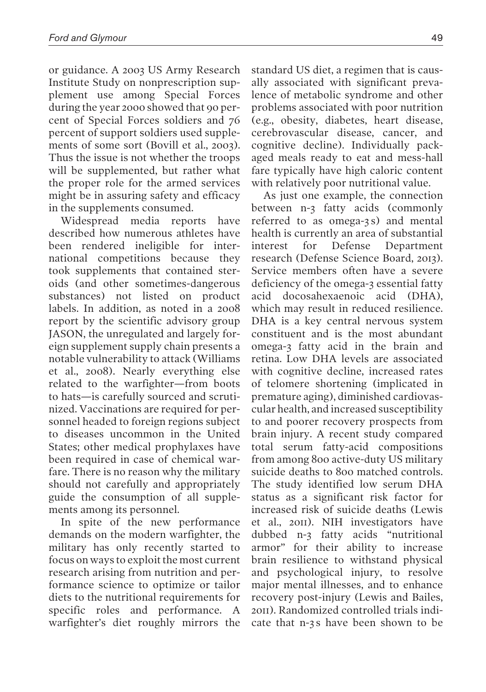or guidance. A 2003 US Army Research Institute Study on nonprescription supplement use among Special Forces during the year 2000 showed that 90 percent of Special Forces soldiers and 76 percent of support soldiers used supplements of some sort (Bovill et al., 2003). Thus the issue is not whether the troops will be supplemented, but rather what the proper role for the armed services might be in assuring safety and efficacy in the supplements consumed.

Widespread media reports have described how numerous athletes have been rendered ineligible for international competitions because they took supplements that contained steroids (and other sometimes-dangerous substances) not listed on product labels. In addition, as noted in a 2008 report by the scientific advisory group JASON, the unregulated and largely foreign supplement supply chain presents a notable vulnerability to attack (Williams et al., 2008). Nearly everything else related to the warfighter-from boots to hats—is carefully sourced and scrutinized. Vaccinations are required for personnel headed to foreign regions subject to diseases uncommon in the United States; other medical prophylaxes have been required in case of chemical warfare. There is no reason why the military should not carefully and appropriately guide the consumption of all supplements among its personnel.

In spite of the new performance demands on the modern warfighter, the military has only recently started to focus on ways to exploit the most current research arising from nutrition and performance science to optimize or tailor diets to the nutritional requirements for specific roles and performance. A warfighter's diet roughly mirrors the

standard US diet, a regimen that is causally associated with significant prevalence of metabolic syndrome and other problems associated with poor nutrition (e.g., obesity, diabetes, heart disease, cerebrovascular disease, cancer, and cognitive decline). Individually packaged meals ready to eat and mess-hall fare typically have high caloric content with relatively poor nutritional value.

As just one example, the connection between n-3 fatty acids (commonly referred to as omega-3 s) and mental health is currently an area of substantial interest for Defense Department research (Defense Science Board, 2013). Service members often have a severe deficiency of the omega-3 essential fatty acid docosahexaenoic acid (DHA), which may result in reduced resilience. DHA is a key central nervous system constituent and is the most abundant omega-3 fatty acid in the brain and retina. Low DHA levels are associated with cognitive decline, increased rates of telomere shortening (implicated in premature aging), diminished cardiovascular health, and increased susceptibility to and poorer recovery prospects from brain injury. A recent study compared total serum fatty-acid compositions from among 800 active-duty US military suicide deaths to 800 matched controls. The study identified low serum DHA status as a significant risk factor for increased risk of suicide deaths (Lewis et al., 2011). NIH investigators have dubbed n-3 fatty acids "nutritional armor" for their ability to increase brain resilience to withstand physical and psychological injury, to resolve major mental illnesses, and to enhance recovery post-injury (Lewis and Bailes, 2011). Randomized controlled trials indicate that n-3 s have been shown to be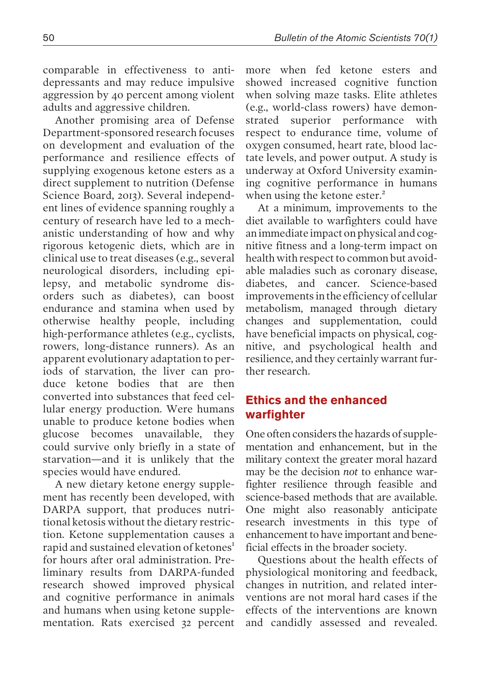comparable in effectiveness to antidepressants and may reduce impulsive aggression by 40 percent among violent adults and aggressive children.

Another promising area of Defense Department-sponsored research focuses on development and evaluation of the performance and resilience effects of supplying exogenous ketone esters as a direct supplement to nutrition (Defense Science Board, 2013). Several independent lines of evidence spanning roughly a century of research have led to a mechanistic understanding of how and why rigorous ketogenic diets, which are in clinical use to treat diseases (e.g., several neurological disorders, including epilepsy, and metabolic syndrome disorders such as diabetes), can boost endurance and stamina when used by otherwise healthy people, including high-performance athletes (e.g., cyclists, rowers, long-distance runners). As an apparent evolutionary adaptation to periods of starvation, the liver can produce ketone bodies that are then converted into substances that feed cellular energy production. Were humans unable to produce ketone bodies when glucose becomes unavailable, they could survive only briefly in a state of starvation—and it is unlikely that the species would have endured.

A new dietary ketone energy supplement has recently been developed, with DARPA support, that produces nutritional ketosis without the dietary restriction. Ketone supplementation causes a rapid and sustained elevation of ketones<sup>1</sup> for hours after oral administration. Preliminary results from DARPA-funded research showed improved physical and cognitive performance in animals and humans when using ketone supplementation. Rats exercised 32 percent more when fed ketone esters and showed increased cognitive function when solving maze tasks. Elite athletes (e.g., world-class rowers) have demonstrated superior performance with respect to endurance time, volume of oxygen consumed, heart rate, blood lactate levels, and power output. A study is underway at Oxford University examining cognitive performance in humans when using the ketone ester.<sup>2</sup>

At a minimum, improvements to the diet available to warfighters could have an immediate impact on physical and cognitive fitness and a long-term impact on health with respect to common but avoidable maladies such as coronary disease, diabetes, and cancer. Science-based improvements in the efficiency of cellular metabolism, managed through dietary changes and supplementation, could have beneficial impacts on physical, cognitive, and psychological health and resilience, and they certainly warrant further research.

### Ethics and the enhanced warfighter

One often considers the hazards of supplementation and enhancement, but in the military context the greater moral hazard may be the decision not to enhance warfighter resilience through feasible and science-based methods that are available. One might also reasonably anticipate research investments in this type of enhancement to have important and beneficial effects in the broader society.

Questions about the health effects of physiological monitoring and feedback, changes in nutrition, and related interventions are not moral hard cases if the effects of the interventions are known and candidly assessed and revealed.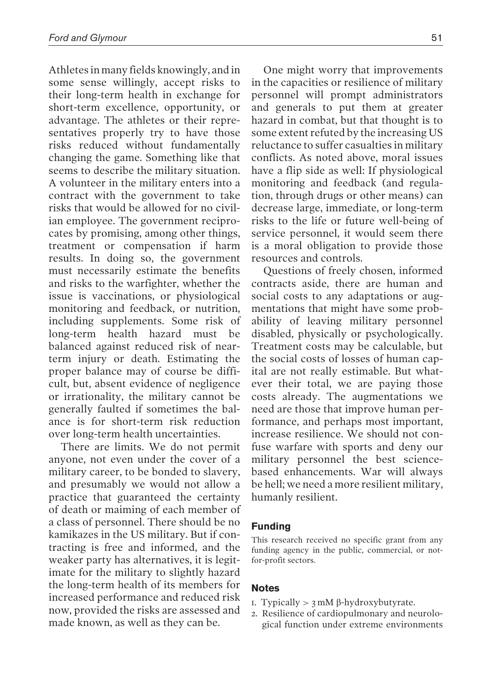Athletes in many fields knowingly, and in some sense willingly, accept risks to their long-term health in exchange for short-term excellence, opportunity, or advantage. The athletes or their representatives properly try to have those risks reduced without fundamentally changing the game. Something like that seems to describe the military situation. A volunteer in the military enters into a contract with the government to take risks that would be allowed for no civilian employee. The government reciprocates by promising, among other things, treatment or compensation if harm results. In doing so, the government must necessarily estimate the benefits and risks to the warfighter, whether the issue is vaccinations, or physiological monitoring and feedback, or nutrition, including supplements. Some risk of long-term health hazard must be balanced against reduced risk of nearterm injury or death. Estimating the proper balance may of course be difficult, but, absent evidence of negligence or irrationality, the military cannot be generally faulted if sometimes the balance is for short-term risk reduction over long-term health uncertainties.

There are limits. We do not permit anyone, not even under the cover of a military career, to be bonded to slavery, and presumably we would not allow a practice that guaranteed the certainty of death or maiming of each member of a class of personnel. There should be no kamikazes in the US military. But if contracting is free and informed, and the weaker party has alternatives, it is legitimate for the military to slightly hazard the long-term health of its members for increased performance and reduced risk now, provided the risks are assessed and made known, as well as they can be.

One might worry that improvements in the capacities or resilience of military personnel will prompt administrators and generals to put them at greater hazard in combat, but that thought is to some extent refuted by the increasing US reluctance to suffer casualties in military conflicts. As noted above, moral issues have a flip side as well: If physiological monitoring and feedback (and regulation, through drugs or other means) can decrease large, immediate, or long-term risks to the life or future well-being of service personnel, it would seem there is a moral obligation to provide those resources and controls.

Questions of freely chosen, informed contracts aside, there are human and social costs to any adaptations or augmentations that might have some probability of leaving military personnel disabled, physically or psychologically. Treatment costs may be calculable, but the social costs of losses of human capital are not really estimable. But whatever their total, we are paying those costs already. The augmentations we need are those that improve human performance, and perhaps most important, increase resilience. We should not confuse warfare with sports and deny our military personnel the best sciencebased enhancements. War will always be hell; we need a more resilient military, humanly resilient.

#### Funding

This research received no specific grant from any funding agency in the public, commercial, or notfor-profit sectors.

#### **Notes**

- 1. Typically  $> 3$  mM  $\beta$ -hydroxybutyrate.
- 2. Resilience of cardiopulmonary and neurological function under extreme environments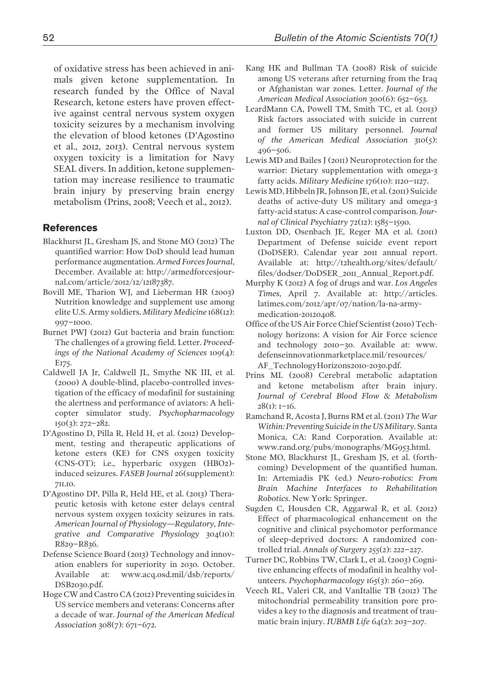of oxidative stress has been achieved in animals given ketone supplementation. In research funded by the Office of Naval Research, ketone esters have proven effective against central nervous system oxygen toxicity seizures by a mechanism involving the elevation of blood ketones (D'Agostino et al., 2012, 2013). Central nervous system oxygen toxicity is a limitation for Navy SEAL divers. In addition, ketone supplementation may increase resilience to traumatic brain injury by preserving brain energy metabolism (Prins, 2008; Veech et al., 2012).

#### References

- Blackhurst JL, Gresham JS, and Stone MO (2012) The quantified warrior: How DoD should lead human performance augmentation. Armed Forces Journal, December. Available at: http://armedforcesjournal.com/article/2012/12/12187387.
- Bovill ME, Tharion WJ, and Lieberman HR (2003) Nutrition knowledge and supplement use among elite U.S. Army soldiers. Military Medicine 168(12): 997-1000.
- Burnet PWJ (2012) Gut bacteria and brain function: The challenges of a growing field. Letter. Proceedings of the National Academy of Sciences  $109(4)$ : E175.
- Caldwell JA Jr, Caldwell JL, Smythe NK III, et al. (2000) A double-blind, placebo-controlled investigation of the efficacy of modafinil for sustaining the alertness and performance of aviators: A helicopter simulator study. Psychopharmacology  $150(3): 272 - 282.$
- D'Agostino D, Pilla R, Held H, et al. (2012) Development, testing and therapeutic applications of ketone esters (KE) for CNS oxygen toxicity (CNS-OT); i.e., hyperbaric oxygen (HBO2) induced seizures. FASEB Journal 26(supplement): 711.10.
- D'Agostino DP, Pilla R, Held HE, et al. (2013) Therapeutic ketosis with ketone ester delays central nervous system oxygen toxicity seizures in rats. American Journal of Physiology-Regulatory, Integrative and Comparative Physiology 304(10): R829-R836.
- Defense Science Board (2013) Technology and innovation enablers for superiority in 2030. October. Available at: www.acq.osd.mil/dsb/reports/ DSB2030.pdf.
- Hoge CW and Castro CA (2012) Preventing suicides in US service members and veterans: Concerns after a decade of war. Journal of the American Medical Association  $308(7)$ : 671-672.
- Kang HK and Bullman TA (2008) Risk of suicide among US veterans after returning from the Iraq or Afghanistan war zones. Letter. Journal of the American Medical Association 300(6): 652-653.
- LeardMann CA, Powell TM, Smith TC, et al. (2013) Risk factors associated with suicide in current and former US military personnel. Journal of the American Medical Association  $310(5)$ : 496-506.
- Lewis MD and Bailes J (2011) Neuroprotection for the warrior: Dietary supplementation with omega-3 fatty acids. Military Medicine 176(10): 1120-1127.
- Lewis MD, Hibbeln JR, Johnson JE, et al. (2011) Suicide deaths of active-duty US military and omega-3 fatty-acid status: A case-control comparison.Journal of Clinical Psychiatry 72(12): 1585-1590.
- Luxton DD, Osenbach JE, Reger MA et al. (2011) Department of Defense suicide event report (DoDSER). Calendar year 2011 annual report. Available at: http://t2health.org/sites/default/ files/dodser/DoDSER\_2011\_Annual\_Report.pdf.
- Murphy K (2012) A fog of drugs and war. Los Angeles Times, April 7. Available at: http://articles. latimes.com/2012/apr/07/nation/la-na-armymedication-20120408.
- Office of the US Air Force Chief Scientist (2010) Technology horizons: A vision for Air Force science and technology 2010-30. Available at: www. defenseinnovationmarketplace.mil/resources/ AF\_TechnologyHorizons2010-2030.pdf.
- Prins ML (2008) Cerebral metabolic adaptation and ketone metabolism after brain injury. Journal of Cerebral Blood Flow & Metabolism  $28(i): 1-i6.$
- Ramchand R, Acosta J, Burns RM et al. (2011) The War Within: Preventing Suicide in the US Military. Santa Monica, CA: Rand Corporation. Available at: www.rand.org/pubs/monographs/MG953.html.
- Stone MO, Blackhurst JL, Gresham JS, et al. (forthcoming) Development of the quantified human. In: Artemiadis PK (ed.) Neuro-robotics: From Brain Machine Interfaces to Rehabilitation Robotics. New York: Springer.
- Sugden C, Housden CR, Aggarwal R, et al. (2012) Effect of pharmacological enhancement on the cognitive and clinical psychomotor performance of sleep-deprived doctors: A randomized controlled trial. Annals of Surgery  $255(2)$ : 222-227.
- Turner DC, Robbins TW, Clark L, et al. (2003) Cognitive enhancing effects of modafinil in healthy volunteers. Psychopharmacology  $165(3)$ : 260-269.
- Veech RL, Valeri CR, and VanItallie TB (2012) The mitochondrial permeability transition pore provides a key to the diagnosis and treatment of traumatic brain injury. IUBMB Life  $64(2)$ : 203-207.